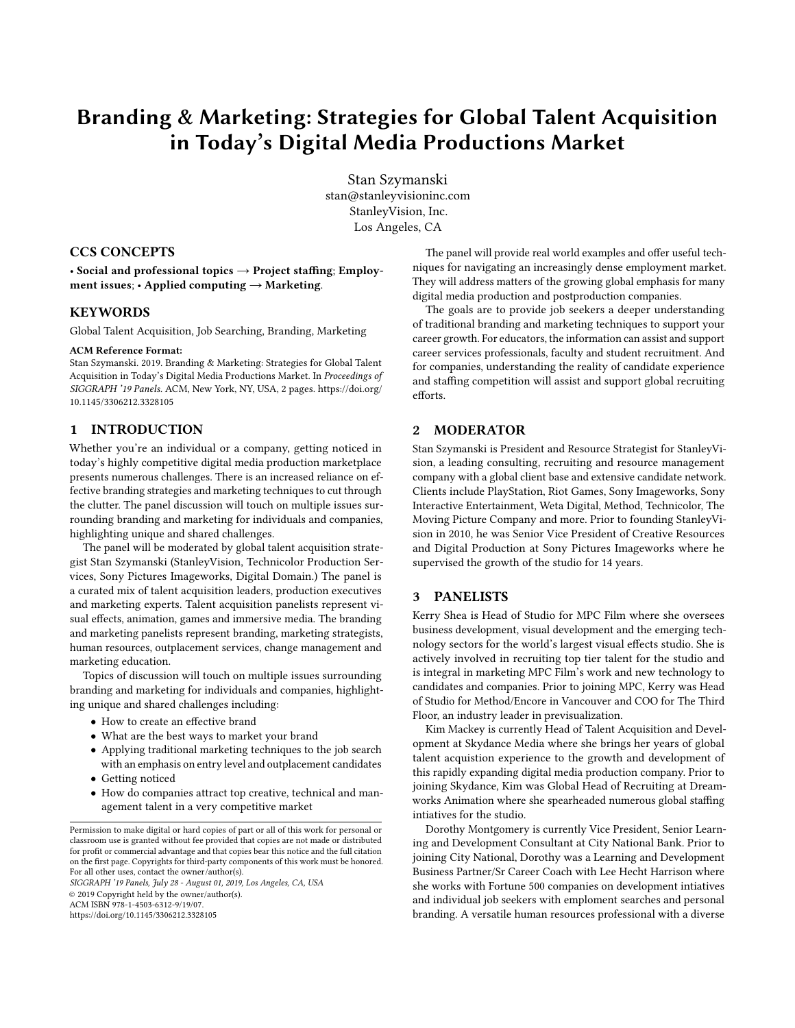# Branding & Marketing: Strategies for Global Talent Acquisition in Today's Digital Media Productions Market

Stan Szymanski stan@stanleyvisioninc.com StanleyVision, Inc. Los Angeles, CA

## CCS CONCEPTS

• Social and professional topics  $\rightarrow$  Project staffing; Employment issues;  $\cdot$  Applied computing  $\rightarrow$  Marketing.

## **KEYWORDS**

Global Talent Acquisition, Job Searching, Branding, Marketing

#### ACM Reference Format:

Stan Szymanski. 2019. Branding & Marketing: Strategies for Global Talent Acquisition in Today's Digital Media Productions Market. In Proceedings of SIGGRAPH '19 Panels. ACM, New York, NY, USA, [2](#page-1-0) pages. [https://doi.org/](https://doi.org/10.1145/3306212.3328105) [10.1145/3306212.3328105](https://doi.org/10.1145/3306212.3328105)

# 1 INTRODUCTION

Whether you're an individual or a company, getting noticed in today's highly competitive digital media production marketplace presents numerous challenges. There is an increased reliance on effective branding strategies and marketing techniques to cut through the clutter. The panel discussion will touch on multiple issues surrounding branding and marketing for individuals and companies, highlighting unique and shared challenges.

The panel will be moderated by global talent acquisition strategist Stan Szymanski (StanleyVision, Technicolor Production Services, Sony Pictures Imageworks, Digital Domain.) The panel is a curated mix of talent acquisition leaders, production executives and marketing experts. Talent acquisition panelists represent visual effects, animation, games and immersive media. The branding and marketing panelists represent branding, marketing strategists, human resources, outplacement services, change management and marketing education.

Topics of discussion will touch on multiple issues surrounding branding and marketing for individuals and companies, highlighting unique and shared challenges including:

- How to create an effective brand
- What are the best ways to market your brand
- Applying traditional marketing techniques to the job search with an emphasis on entry level and outplacement candidates
- Getting noticed
- How do companies attract top creative, technical and management talent in a very competitive market

SIGGRAPH '19 Panels, July 28 - August 01, 2019, Los Angeles, CA, USA © 2019 Copyright held by the owner/author(s).

ACM ISBN 978-1-4503-6312-9/19/07.

<https://doi.org/10.1145/3306212.3328105>

The panel will provide real world examples and offer useful techniques for navigating an increasingly dense employment market. They will address matters of the growing global emphasis for many digital media production and postproduction companies.

The goals are to provide job seekers a deeper understanding of traditional branding and marketing techniques to support your career growth. For educators, the information can assist and support career services professionals, faculty and student recruitment. And for companies, understanding the reality of candidate experience and staffing competition will assist and support global recruiting efforts.

## 2 MODERATOR

Stan Szymanski is President and Resource Strategist for StanleyVision, a leading consulting, recruiting and resource management company with a global client base and extensive candidate network. Clients include PlayStation, Riot Games, Sony Imageworks, Sony Interactive Entertainment, Weta Digital, Method, Technicolor, The Moving Picture Company and more. Prior to founding StanleyVision in 2010, he was Senior Vice President of Creative Resources and Digital Production at Sony Pictures Imageworks where he supervised the growth of the studio for 14 years.

## 3 PANELISTS

Kerry Shea is Head of Studio for MPC Film where she oversees business development, visual development and the emerging technology sectors for the world's largest visual effects studio. She is actively involved in recruiting top tier talent for the studio and is integral in marketing MPC Film's work and new technology to candidates and companies. Prior to joining MPC, Kerry was Head of Studio for Method/Encore in Vancouver and COO for The Third Floor, an industry leader in previsualization.

Kim Mackey is currently Head of Talent Acquisition and Development at Skydance Media where she brings her years of global talent acquistion experience to the growth and development of this rapidly expanding digital media production company. Prior to joining Skydance, Kim was Global Head of Recruiting at Dreamworks Animation where she spearheaded numerous global staffing intiatives for the studio.

Dorothy Montgomery is currently Vice President, Senior Learning and Development Consultant at City National Bank. Prior to joining City National, Dorothy was a Learning and Development Business Partner/Sr Career Coach with Lee Hecht Harrison where she works with Fortune 500 companies on development intiatives and individual job seekers with emploment searches and personal branding. A versatile human resources professional with a diverse

Permission to make digital or hard copies of part or all of this work for personal or classroom use is granted without fee provided that copies are not made or distributed for profit or commercial advantage and that copies bear this notice and the full citation on the first page. Copyrights for third-party components of this work must be honored. For all other uses, contact the owner/author(s).